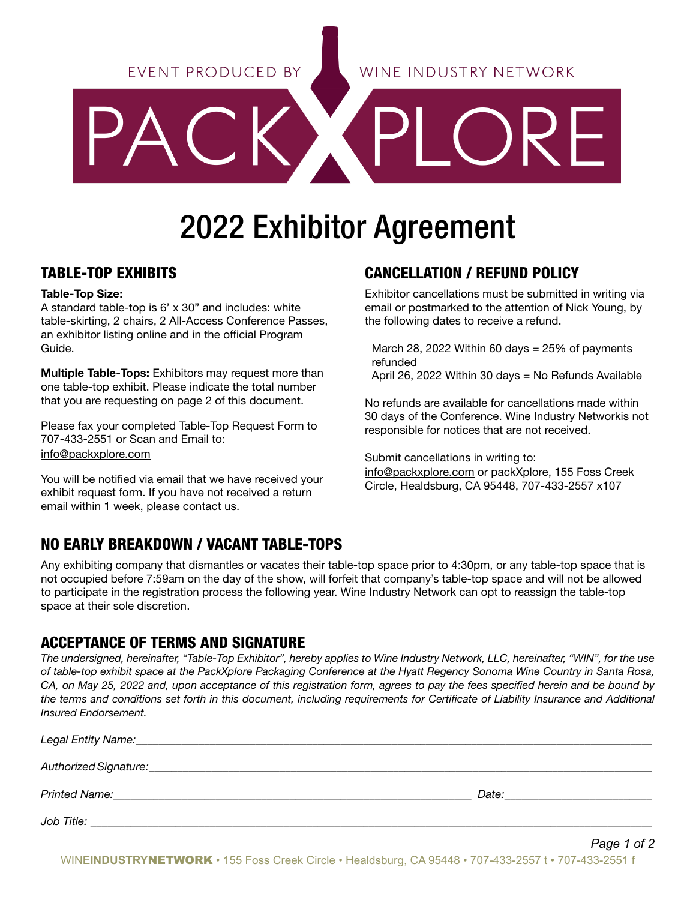EVENT PRODUCED BY

# 2022 Exhibitor Agreement

# TABLE-TOP EXHIBITS

#### Table-Top Size:

A standard table-top is 6' x 30" and includes: white table-skirting, 2 chairs, 2 All-Access Conference Passes, an exhibitor listing online and in the official Program Guide.

Multiple Table-Tops: Exhibitors may request more than one table-top exhibit. Please indicate the total number that you are requesting on page 2 of this document.

Please fax your completed Table-Top Request Form to 707-433-2551 or Scan and Email to: info@packxplore.com

You will be notified via email that we have received your exhibit request form. If you have not received a return email within 1 week, please contact us.

# CANCELLATION / REFUND POLICY

Exhibitor cancellations must be submitted in writing via email or postmarked to the attention of Nick Young, by the following dates to receive a refund.

March 28, 2022 Within 60 days  $= 25\%$  of payments refunded

April 26, 2022 Within 30 days = No Refunds Available

No refunds are available for cancellations made within 30 days of the Conference. Wine Industry Networkis not responsible for notices that are not received.

Submit cancellations in writing to:

info@packxplore.com or packXplore, 155 Foss Creek Circle, Healdsburg, CA 95448, 707-433-2557 x107

## NO EARLY BREAKDOWN / VACANT TABLE-TOPS

Any exhibiting company that dismantles or vacates their table-top space prior to 4:30pm, or any table-top space that is not occupied before 7:59am on the day of the show, will forfeit that company's table-top space and will not be allowed to participate in the registration process the following year. Wine Industry Network can opt to reassign the table-top space at their sole discretion.

### ACCEPTANCE OF TERMS AND SIGNATURE

*The undersigned, hereinafter, "Table-Top Exhibitor", hereby applies to Wine Industry Network, LLC, hereinafter, "WIN", for the use of table-top exhibit space at the PackXplore Packaging Conference at the Hyatt Regency Sonoma Wine Country in Santa Rosa, CA, on May 25, 2022 and, upon acceptance of this registration form, agrees to pay the fees specified herein and be bound by the terms and conditions set forth in this document, including requirements for Certificate of Liability Insurance and Additional Insured Endorsement.*

| Legal Entity Name: |       |
|--------------------|-------|
|                    |       |
|                    | Date: |
| Job Title:         |       |